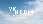# WEDIA<br>MEDIA<br>Mediehus med mening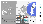## **VK Media**

Local, independent group with two dailys and one monthly newspapaper. Main product: Västerbottens-Kuriren liberal newspaper founded in 1900 Based in Umeå, Sweden Largest newspaper in the northern region of Sweden **Total circulation: 26 977** Digital subscriptions: 7 557 (28%)

vk.se: 4 000 000 pageviews/week 350 000 unique visitors/week



Digital subscriptions



## VKNEDIA

**VK FOLKBLADET** 



RIXEM **STAR** Jippo **DAILY.** 



<mark>i</mark> Geogle<br>I Partner

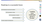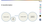



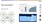# Why personalize?

#### Because it works!





#### Mittmedia:









RIXEM **STAR** 

Jippo

**DAILY.** 



<mark>:</mark> <sup>Google</sup><br>: Partner

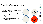

# The problem for a smaller newsroom

Personalization is only useful if you have enough content to truly personalize.

We have a small staff, that's not likely to grow larger in the coming years.

We want our journalist to focus on what they're really good at.

So how do we generate more relevant content without increasing the staff?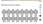**VK** 

**FOLKBLADET** 

# We build an army of robots!

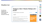**VK** 

**FOLKBLADET** 

**Umea** 

**RIXEM** 

**STAR<sup>K</sup>** 

Jippo

**DAILY.** 

UMEA

 $\sum_{i=1}^{n}$ 

<mark>:</mark> <sup>Google</sup><br>: Partner

 $\mathbf{d}$ 

**SCHIBSTED**<br>MEDIA GROUP

## Weather bot

Our first bot publishes 50 articles daily with local weather forecast for the day.

| <b>LOKALT</b>                                                                  |                              |                     |
|--------------------------------------------------------------------------------|------------------------------|---------------------|
| Tisdagens väder i Vännäs: Molnigt och 3<br>grader<br>Publicerad idag kl. 07:00 |                              |                     |
|                                                                                |                              |                     |
| Här är tisdagens väderprognos för Vännäs från SMHI.                            | Väder Vännäs                 | Följ                |
| <b>Ulf Väderrobot</b><br>redaktion@vk.se                                       | Annons<br>kvdbil             | En skönare bilaffär |
| Under morgonen blir det soligt väder och en temperatur på 3 grader. Vi får en  |                              |                     |
| måttlig nordlig vind på 4.1 m/s.                                               | Varje vecka säljer           |                     |
| Fram emot lunch kan vi vänta oss molntunga skyar och temperaturen förväntas    | vi hundratals                |                     |
| förbli 3 grader. Vi får en svag nordvästlig vind på 2.8 m/s.                   | testade bilar på<br>auktion. |                     |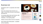## Business bot

Developed in 2017 in cooperation with United Robots

Every new company that is formed in our region - the next day we'll get an automatically generated text

Our business editor looks over the texts, adds a picture, and publishes it. If it's very interesting – own reporting added.

Weekly summary-article of all new companies.

Short articles about bankruptcies - completed with own reporting



#### Nystartat kafé i **Storuman**

NYETABLERINGAR. Nu har ett bolag startat i Storuman som ska driva ett kafé.

Den 12 juni registrerades det nya bolaget Café Akkan Aktiebolag hos Bolagsverket. Bolaget har sitt säte i Storuman och verksamhet ska vara "kaféverksamhet inklusive bakning". Styrelseordförande är Pia Elisabeth Kristiansson.

Café Akkan Aktiebolag har ett aktiekapital på 50 000 kronor.

**United Robots** Publicerad 25 jun - Uppdaterad 26 jun

Prisvärt höj- & sänkbart elbord för ombedelbar leverans! Ring oss på 090-15 36 00  $=$   $N$   $k$   $\rightarrow$ 

För Företag och Konto

Annons



<mark>:</mark> Geogle<br>: Partner

**DAILY.** 

UMEA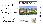# Homeowners bot

Developed by United Robots and Mittmedia

Uses data from Sweden's Land Registration Authority

Every property that's sold in our region generates an article:

- who sold it to who
- the price
- the location
- information about the property
- information about other sales in the area
- Picture from google street view

The AI finds the most interesting angle

#### 24-åring ny ägare till 70-talshus i Skelleftehamn - prislappen: 630 000 **kronor**

VK<sub>MEDIA</sub>

**VK** 

**FOLKBLADET** 

**Umea** 

**REAL PROPERTY AND** 

**STAR** 

Jippo

**DAILY.** 

UMEA

<mark>:</mark> Geogle<br>: Partner

Publicerad idag kl. 09:26 - Uppdaterad idag kl. 09:26

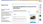# Sports bot

Developed by United Robots

Writes articles about every lower level match in soccer, hockey, floorball, handball, basketball and more.

Relies on data from Everysport

Recently added an automated Q&A feature

#### **ISHOCKEY**

## Formstarka Björklöven vann borta mot **Härnösand**

Publicerad idag kl. 10:34 - Uppdaterad idag kl. 10:37

| Formstarka Björklöven vann tämligen väntat borta i J20 Elit norra i |
|---------------------------------------------------------------------|
| hockey mot AIK Härnösand föll Björklöven. Matchen slutade 2–11 (0-  |
| $2, 1-8, 1-1)$                                                      |

#### **United Robots**

redaktion@vk.se

Det betyder att Björklöven har fem segrar i rad, medan AIK Härnösand har fyra förluster i följd.

Hemmalagets mål gjordes av Adam Blixt och Marcus Libell, medan bortalagets mål noterades på Björn Gabrielsson 3, Joakim Valjemot 2, Emil Norberg 2, Jacob Henriksson, Robin Johansson, Oliver Schönfeldt och Gabriel Österberg.

Med två omgångar kvar är AIK Härnösand på tionde plats i tabellen, och Björklöven leder serien.

I nästa match möter AIK Härnösand Kiruna AIF hemma på lördag 2 mars 15.00.

| <b>J20 Elit norra</b> |  |
|-----------------------|--|
| Björklöven            |  |
| <b>Ishockey</b>       |  |





Läs mer











Fol







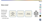

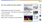VK

**FOLKBLADET** 

**Umea** 

**RANGE AND REAL PROPERTY** 

**STAR<sup>K</sup>** 

Jippo

**DAILY.** 

UMEA

<mark>:</mark> Geogle<br>: Partner

# So how useful are the robots?

Quality needs to be good, but not great

"Covers the bases" - frees time for in depth reportional vind väntas

Drives conversion

Helps us discover stories

More content - foundation for personalization

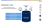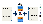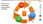Vision of an automated, personalized newsflow